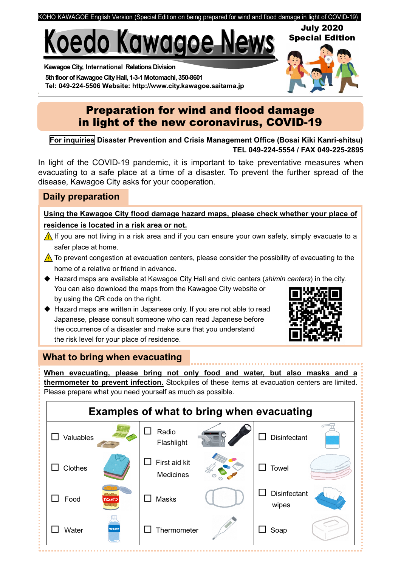

# Koedo Kawagoe Nev

Kawagoe City, International Relations Division 5th floor of Kawagoe City Hall, 1-3-1 Motomachi, 350-8601 Tel: 049-224-5506 Website: http://www.city.kawagoe.saitama.jp

# Preparation for wind and flood damage in light of the new coronavirus, COVID-19

For inquiries Disaster Prevention and Crisis Management Office (Bosai Kiki Kanri-shitsu) TEL 049-224-5554 / FAX 049-225-2895

In light of the COVID-19 pandemic, it is important to take preventative measures when evacuating to a safe place at a time of a disaster. To prevent the further spread of the disease, Kawagoe City asks for your cooperation.

## Daily preparation

Using the Kawagoe City flood damage hazard maps, please check whether your place of residence is located in a risk area or not.

- If you are not living in a risk area and if you can ensure your own safety, simply evacuate to a safer place at home.
- $\triangle$  To prevent congestion at evacuation centers, please consider the possibility of evacuating to the home of a relative or friend in advance.
- ◆ Hazard maps are available at Kawagoe City Hall and civic centers (shimin centers) in the city. You can also download the maps from the Kawagoe City website or by using the QR code on the right.
- ◆ Hazard maps are written in Japanese only. If you are not able to read Japanese, please consult someone who can read Japanese before the occurrence of a disaster and make sure that you understand the risk level for your place of residence.



July 2020 Special Edition

## What to bring when evacuating

When evacuating, please bring not only food and water, but also masks and a thermometer to prevent infection. Stockpiles of these items at evacuation centers are limited. Please prepare what you need yourself as much as possible.

| <b>Examples of what to bring when evacuating</b> |                            |                              |
|--------------------------------------------------|----------------------------|------------------------------|
| Valuables                                        | Radio<br>Flashlight        | <b>Disinfectant</b>          |
| Clothes                                          | First aid kit<br>Medicines | <b>Towel</b>                 |
| Food<br>カンパン                                     | <b>Masks</b>               | <b>Disinfectant</b><br>wipes |
| Water<br>Water                                   | Thermometer                | Soap                         |